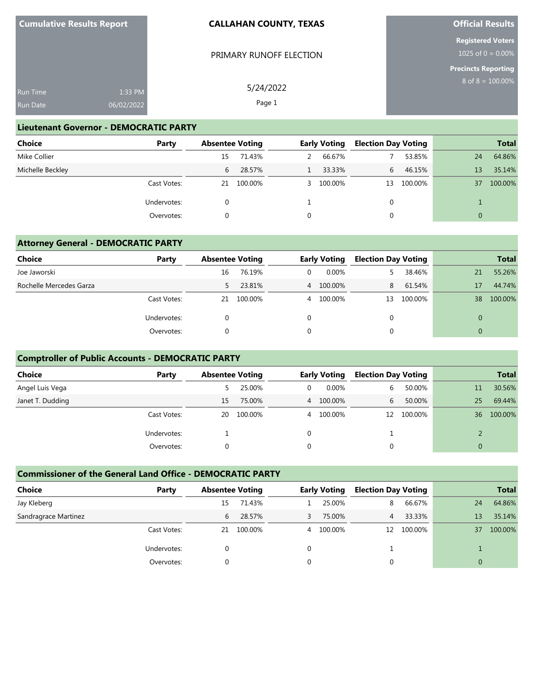| <b>Cumulative Results Report</b> | <b>CALLAHAN COUNTY, TEXAS</b>  |  |
|----------------------------------|--------------------------------|--|
|                                  | <b>PRIMARY RUNOFF ELECTION</b> |  |

**Official Results**

**Registered Voters** 1025 of  $0 = 0.00\%$ 

**Precincts Reporting** 8 of 8 = 100.00%

| <b>Run Time</b> | 1:33 PM    | 5/24/2022 |
|-----------------|------------|-----------|
| <b>Run Date</b> | 06/02/2022 | Page 1    |

### **Lieutenant Governor - DEMOCRATIC PARTY**

| Choice           | Party       | <b>Absentee Voting</b> |         |   | <b>Early Voting</b> | <b>Election Day Voting</b> |         |    | <b>Total</b> |
|------------------|-------------|------------------------|---------|---|---------------------|----------------------------|---------|----|--------------|
| Mike Collier     |             | 15                     | 71.43%  | 2 | 66.67%              |                            | 53.85%  | 24 | 64.86%       |
| Michelle Beckley |             | 6                      | 28.57%  |   | 33.33%              | 6                          | 46.15%  | 13 | 35.14%       |
|                  | Cast Votes: | 21                     | 100.00% |   | 3 100.00%           | 13                         | 100.00% | 37 | 100.00%      |
|                  | Undervotes: |                        |         |   |                     |                            |         |    |              |
|                  | Overvotes:  |                        |         |   |                     |                            |         |    |              |

## **Attorney General - DEMOCRATIC PARTY**

| <b>Choice</b>           | Party       |    | <b>Absentee Voting</b> |   | <b>Early Voting</b> |          | <b>Election Day Voting</b> |    | <b>Total</b> |
|-------------------------|-------------|----|------------------------|---|---------------------|----------|----------------------------|----|--------------|
| Joe Jaworski            |             | 16 | 76.19%                 | 0 | $0.00\%$            |          | 38.46%                     | 21 | 55.26%       |
| Rochelle Mercedes Garza |             | 5. | 23.81%                 |   | 4 100.00%           | 8        | 61.54%                     | 17 | 44.74%       |
|                         | Cast Votes: | 21 | 100.00%                | 4 | 100.00%             | 13       | 100.00%                    | 38 | 100.00%      |
|                         | Undervotes: |    |                        |   |                     | $\Omega$ |                            | 0  |              |
|                         | Overvotes:  |    |                        |   |                     |          |                            | 0  |              |

# **Comptroller of Public Accounts - DEMOCRATIC PARTY**

| <b>Choice</b>    | Party       | <b>Absentee Voting</b> |         |          | <b>Early Voting</b> | <b>Election Day Voting</b> |            |    | <b>Total</b> |
|------------------|-------------|------------------------|---------|----------|---------------------|----------------------------|------------|----|--------------|
| Angel Luis Vega  |             |                        | 25.00%  | $\Omega$ | $0.00\%$            | $\mathfrak{b}$             | 50.00%     | 11 | 30.56%       |
| Janet T. Dudding |             | 15.                    | 75.00%  |          | 4 100.00%           | $\mathfrak{b}$             | 50.00%     | 25 | 69.44%       |
|                  | Cast Votes: | 20                     | 100.00% | 4        | 100.00%             |                            | 12 100.00% | 36 | 100.00%      |
|                  | Undervotes: |                        |         | $\Omega$ |                     |                            |            |    |              |
|                  | Overvotes:  |                        |         |          |                     |                            |            |    |              |

### **Commissioner of the General Land Office - DEMOCRATIC PARTY**

| <b>Choice</b>        | Party       | <b>Absentee Voting</b> |         |   | <b>Early Voting</b> | <b>Election Day Voting</b> |            |    | <b>Total</b> |
|----------------------|-------------|------------------------|---------|---|---------------------|----------------------------|------------|----|--------------|
| Jay Kleberg          |             | 15                     | 71.43%  |   | 25.00%              | 8                          | 66.67%     | 24 | 64.86%       |
| Sandragrace Martinez |             | 6                      | 28.57%  |   | 75.00%              | 4                          | 33.33%     | 13 | 35.14%       |
|                      | Cast Votes: | 21                     | 100.00% | 4 | 100.00%             |                            | 12 100.00% | 37 | 100.00%      |
|                      | Undervotes: | 0                      |         |   |                     |                            |            |    |              |
|                      | Overvotes:  | 0                      |         |   |                     |                            |            | 0  |              |